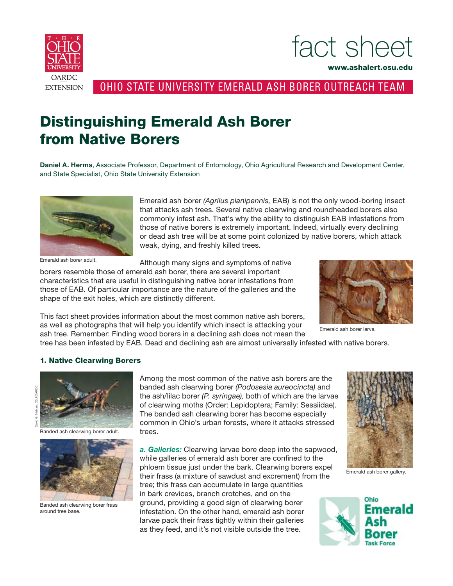

fact sheet

www.ashalert.osu.edu

Ohio State University Emerald Ash Borer OUTREACH Team

## Distinguishing Emerald Ash Borer from Native Borers

**Daniel A. Herms**, Associate Professor, Department of Entomology, Ohio Agricultural Research and Development Center, and State Specialist, Ohio State University Extension



Emerald ash borer adult.

Emerald ash borer *(Agrilus planipennis,* EAB) is not the only wood-boring insect that attacks ash trees. Several native clearwing and roundheaded borers also commonly infest ash. That's why the ability to distinguish EAB infestations from those of native borers is extremely important. Indeed, virtually every declining or dead ash tree will be at some point colonized by native borers, which attack weak, dying, and freshly killed trees.

Although many signs and symptoms of native

borers resemble those of emerald ash borer, there are several important characteristics that are useful in distinguishing native borer infestations from those of EAB. Of particular importance are the nature of the galleries and the shape of the exit holes, which are distinctly different.

This fact sheet provides information about the most common native ash borers, as well as photographs that will help you identify which insect is attacking your ash tree. Remember: Finding wood borers in a declining ash does not mean the



Emerald ash borer larva.

tree has been infested by EAB. Dead and declining ash are almost universally infested with native borers.

## 1. Native Clearwing Borers



Banded ash clearwing borer adult.



Banded ash clearwing borer frass around tree base.

Among the most common of the native ash borers are the banded ash clearwing borer *(Podosesia aureocincta)* and the ash/lilac borer *(P. syringae),* both of which are the larvae of clearwing moths (Order: Lepidoptera; Family: Sessiidae). The banded ash clearwing borer has become especially common in Ohio's urban forests, where it attacks stressed trees.

*a. Galleries:* Clearwing larvae bore deep into the sapwood, while galleries of emerald ash borer are confined to the phloem tissue just under the bark. Clearwing borers expel their frass (a mixture of sawdust and excrement) from the tree; this frass can accumulate in large quantities in bark crevices, branch crotches, and on the ground, providing a good sign of clearwing borer infestation. On the other hand, emerald ash borer larvae pack their frass tightly within their galleries as they feed, and it's not visible outside the tree.



Emerald ash borer gallery.